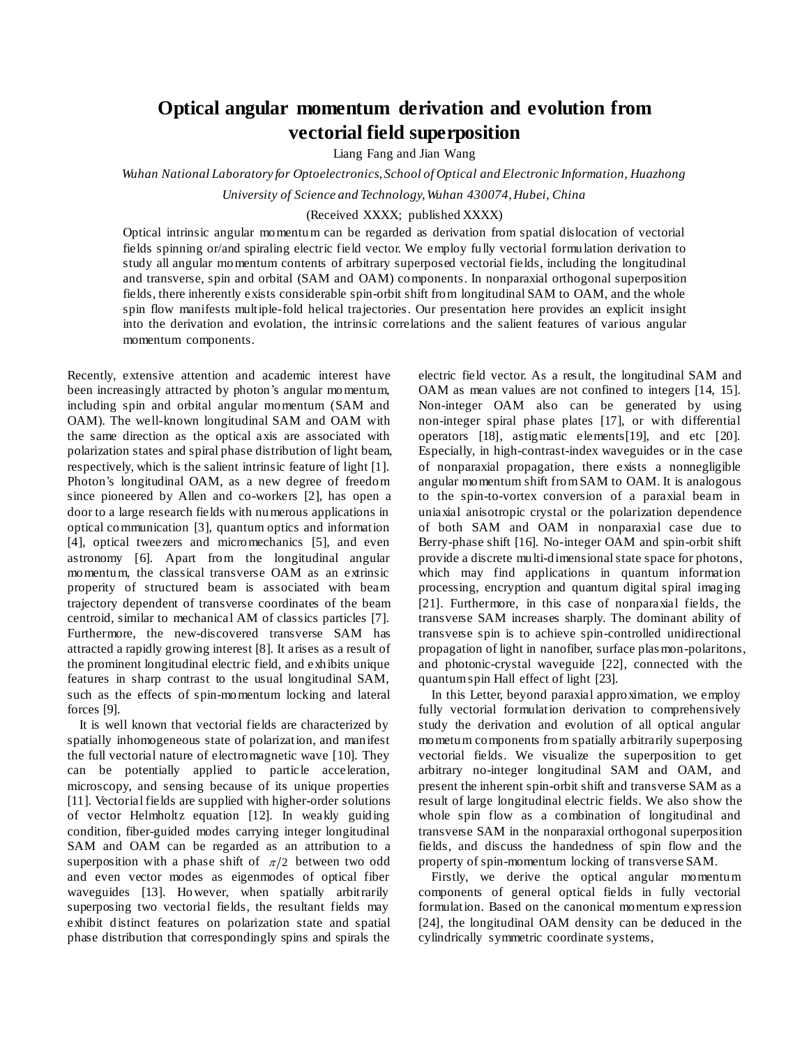## **Optical angular momentum derivation and evolution from vectorial field superposition**

Liang Fang and Jian Wang

*Wuhan National Laboratory for Optoelectronics, School of Optical and Electronic Information, Huazhong* 

*University of Science and Technology, Wuhan 430074, Hubei, China*

## (Received XXXX; published XXXX)

Optical intrinsic angular momentum can be regarded as derivation from spatial dislocation of vectorial fields spinning or/and spiraling electric field vector. We employ fully vectorial formulation derivation to study all angular momentum contents of arbitrary superposed vectorial fields, including the longitudinal and transverse, spin and orbital (SAM and OAM) components. In nonparaxial orthogonal superposition fields, there inherently exists considerable spin-orbit shift from longitudinal SAM to OAM, and the whole spin flow manifests multiple-fold helical trajectories. Our presentation here provides an explicit insight into the derivation and evolation, the intrinsic correlations and the salient features of various angular momentum components.

Recently, extensive attention and academic interest have been increasingly attracted by photon's angular momentum, including spin and orbital angular momentum (SAM and OAM). The well-known longitudinal SAM and OAM with the same direction as the optical axis are associated with polarization states and spiral phase distribution of light beam, respectively, which is the salient intrinsic feature of light [1]. Photon's longitudinal OAM, as a new degree of freedom since pioneered by Allen and co-workers [2], has open a door to a large research fields with numerous applications in optical communication [3], quantum optics and information [4], optical tweezers and micromechanics [5], and even astronomy [6]. Apart from the longitudinal angular momentum, the classical transverse OAM as an extrinsic properity of structured beam is associated with beam trajectory dependent of transverse coordinates of the beam centroid, similar to mechanical AM of classics particles [7]. Furthermore, the new-discovered transverse SAM has attracted a rapidly growing interest [8]. It arises as a result of the prominent longitudinal electric field, and exhibits unique features in sharp contrast to the usual longitudinal SAM, such as the effects of spin-momentum locking and lateral forces [9].

It is well known that vectorial fields are characterized by spatially inhomogeneous state of polarization, and manifest the full vectorial nature of electromagnetic wave [10]. They can be potentially applied to particle acceleration, microscopy, and sensing because of its unique properties [11]. Vectorial fields are supplied with higher-order solutions of vector Helmholtz equation [12]. In weakly guiding condition, fiber-guided modes carrying integer longitudinal SAM and OAM can be regarded as an attribution to a superposition with a phase shift of  $\pi/2$  between two odd and even vector modes as eigenmodes of optical fiber waveguides [13]. However, when spatially arbitrarily superposing two vectorial fields, the resultant fields may exhibit distinct features on polarization state and spatial phase distribution that correspondingly spins and spirals the

electric field vector. As a result, the longitudinal SAM and OAM as mean values are not confined to integers [14, 15]. Non-integer OAM also can be generated by using non-integer spiral phase plates [17], or with differential operators [18], astigmatic elements[19], and etc [20]. Especially, in high-contrast-index waveguides or in the case of nonparaxial propagation, there exists a nonnegligible angular momentum shift from SAM to OAM. It is analogous to the spin-to-vortex conversion of a paraxial beam in uniaxial anisotropic crystal or the polarization dependence of both SAM and OAM in nonparaxial case due to Berry-phase shift [16]. No-integer OAM and spin-orbit shift provide a discrete multi-dimensional state space for photons, which may find applications in quantum information processing, encryption and quantum digital spiral imaging [21]. Furthermore, in this case of nonparaxial fields, the transverse SAM increases sharply. The dominant ability of transverse spin is to achieve spin-controlled unidirectional propagation of light in nanofiber, surface plas mon-polaritons, and photonic-crystal waveguide [22], connected with the quantum spin Hall effect of light [23].

In this Letter, beyond paraxial approximation, we employ fully vectorial formulation derivation to comprehensively study the derivation and evolution of all optical angular mometum components from spatially arbitrarily superposing vectorial fields. We visualize the superposition to get arbitrary no-integer longitudinal SAM and OAM, and present the inherent spin-orbit shift and transverse SAM as a result of large longitudinal electric fields. We also show the whole spin flow as a combination of longitudinal and transverse SAM in the nonparaxial orthogonal superposition fields, and discuss the handedness of spin flow and the property of spin-momentum locking of transverse SAM.

Firstly, we derive the optical angular momentum components of general optical fields in fully vectorial formulation. Based on the canonical momentum expression [24], the longitudinal OAM density can be deduced in the cylindrically symmetric coordinate systems,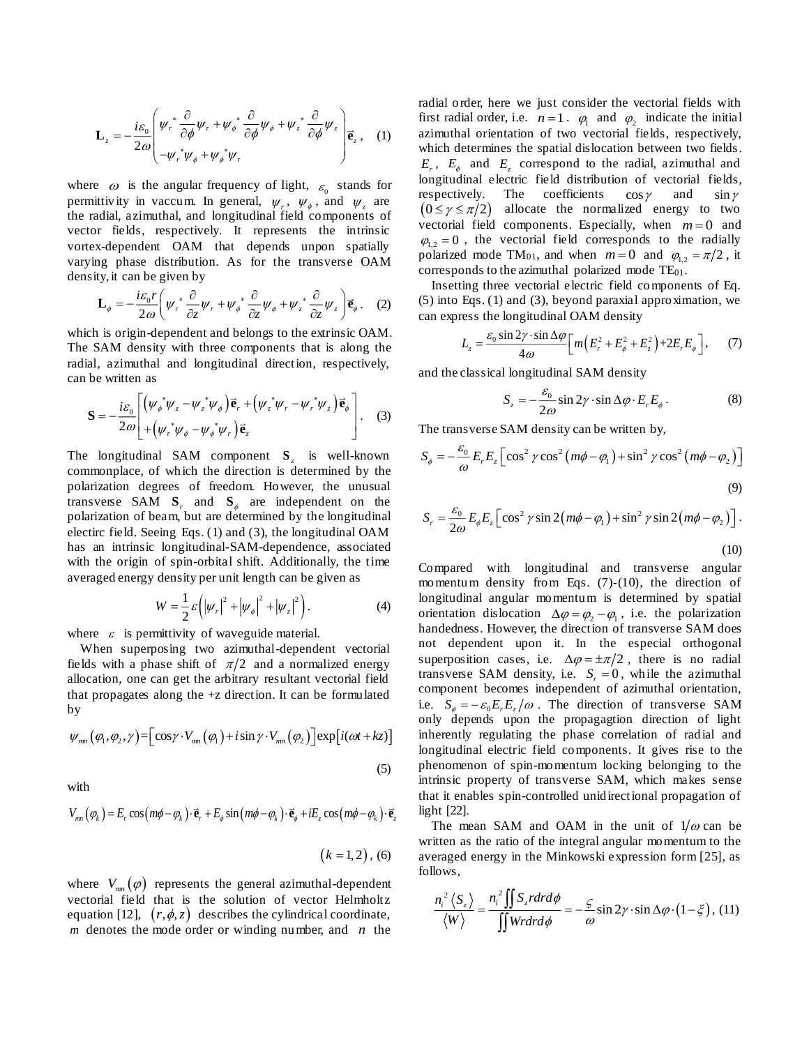$$
\mathbf{L}_{z} = -\frac{i\varepsilon_{0}}{2\omega} \begin{pmatrix} \psi_{r}^{*} \frac{\partial}{\partial \phi} \psi_{r} + \psi_{\phi}^{*} \frac{\partial}{\partial \phi} \psi_{\phi} + \psi_{z}^{*} \frac{\partial}{\partial \phi} \psi_{z} \\ -\psi_{r}^{*} \psi_{\phi} + \psi_{\phi}^{*} \psi_{r} \end{pmatrix} \vec{\mathbf{e}}_{z}, \quad (1)
$$

where  $\omega$  is the angular frequency of light,  $\varepsilon_0$  stands for permittivity in vaccum. In general,  $\psi_r$ ,  $\psi_{\phi}$ , and  $\psi_z$  are the radial, azimuthal, and longitudinal field components of vector fields, respectively. It represents the intrinsic vortex-dependent OAM that depends unpon spatially varying phase distribution. As for the transverse OAM

density, it can be given by  
\n
$$
\mathbf{L}_{\phi} = -\frac{i\varepsilon_0 r}{2\omega} \left( \psi_r^* \frac{\partial}{\partial z} \psi_r + \psi_{\phi}^* \frac{\partial}{\partial z} \psi_{\phi} + \psi_z^* \frac{\partial}{\partial z} \psi_z \right) \vec{\mathbf{e}}_{\phi}.
$$
 (2)

which is origin-dependent and belongs to the extrinsic OAM. The SAM density with three components that is along the radial, azimuthal and longitudinal direction, respectively, can be written as

be written as  
\n
$$
\mathbf{S} = -\frac{i\varepsilon_0}{2\omega} \left[ \left( \psi_{\phi}^* \psi_z - \psi_z^* \psi_{\phi} \right) \vec{\mathbf{e}}_r + \left( \psi_z^* \psi_r - \psi_r^* \psi_z \right) \vec{\mathbf{e}}_{\phi} \right] \tag{3}
$$
\n
$$
\mathbf{S} = -\frac{i\varepsilon_0}{2\omega} \left[ + \left( \psi_r^* \psi_{\phi} - \psi_{\phi}^* \psi_r \right) \vec{\mathbf{e}}_z \right]
$$

The longitudinal SAM component **S***z* is well-known commonplace, of which the direction is determined by the polarization degrees of freedom. However, the unusual transverse SAM  $S_r$  and  $S_\phi$  are independent on the polarization of beam, but are determined by the longitudinal electirc field. Seeing Eqs. (1) and (3), the longitudinal OAM has an intrinsic longitudinal-SAM-dependence, associated with the origin of spin-orbital shift. Additionally, the time averaged energy density per unit length can be given as

$$
W = \frac{1}{2}\varepsilon \left( \left| \psi_r \right|^2 + \left| \psi_{\phi} \right|^2 + \left| \psi_z \right|^2 \right). \tag{4}
$$

where  $\varepsilon$  is permittivity of waveguide material.

When superposing two azimuthal-dependent vectorial fields with a phase shift of  $\pi/2$  and a normalized energy allocation, one can get the arbitrary resultant vectorial field that propagates along the +z direction. It can be formulated by

$$
\psi_{mn}(\varphi_1, \varphi_2, \gamma) = \left[ \cos \gamma \cdot V_{mn}(\varphi_1) + i \sin \gamma \cdot V_{mn}(\varphi_2) \right] \exp \left[ i(\omega t + kz) \right]
$$
\n(5)

with

$$
V_{mn}(\varphi_k) = E_r \cos\left(m\phi - \varphi_k\right) \cdot \vec{\mathbf{e}}_r + E_\phi \sin\left(m\phi - \varphi_k\right) \cdot \vec{\mathbf{e}}_\phi + iE_z \cos\left(m\phi - \varphi_k\right) \cdot \vec{\mathbf{e}}_z
$$

$$
(k=1,2), (6)
$$

where  $V_{mn}(\varphi)$  represents the general azimuthal-dependent vectorial field that is the solution of vector Helmholtz equation [12],  $(r, \phi, z)$  describes the cylindrical coordinate, *m* denotes the mode order or winding number, and *n* the radial order, here we just consider the vectorial fields with first radial order, i.e.  $n=1$ .  $\varphi_1$  and  $\varphi_2$  indicate the initial azimuthal orientation of two vectorial fields, respectively, which determines the spatial dislocation between two fields.  $E_r$ ,  $E_\phi$  and  $E_z$  correspond to the radial, azimuthal and longitudinal electric field distribution of vectorial fields, respectively. The coefficients  $\cos \gamma$ and  $\sin \gamma$  $(0 \le \gamma \le \pi/2)$  allocate the normalized energy to two vectorial field components. Especially, when  $m = 0$  and  $\varphi_{1,2} = 0$ , the vectorial field corresponds to the radially polarized mode TM<sub>01</sub>, and when  $m=0$  and  $\varphi_{1,2} = \pi/2$ , it corresponds to the azimuthal polarized mode  $TE_{01}$ .

Insetting three vectorial electric field components of Eq. (5) into Eqs. (1) and (3), beyond paraxial approximation, we

can express the longitudinal OAM density  
\n
$$
L_z = \frac{\varepsilon_0 \sin 2\gamma \cdot \sin \Delta \varphi}{4\omega} \Big[ m \Big( E_r^2 + E_\phi^2 + E_z^2 \Big) + 2E_r E_\phi \Big], \quad (7)
$$

and the classical longitudinal SAM density

$$
S_z = -\frac{\varepsilon_0}{2\omega} \sin 2\gamma \cdot \sin \Delta \varphi \cdot E_r E_\phi \,. \tag{8}
$$

The transverse SAM density can be written by,  
\n
$$
S_{\phi} = -\frac{\epsilon_0}{\omega} E_r E_z \left[ \cos^2 \gamma \cos^2 \left( m\phi - \varphi_1 \right) + \sin^2 \gamma \cos^2 \left( m\phi - \varphi_2 \right) \right]
$$
\n(9)

$$
S_r = \frac{\varepsilon_0}{2\omega} E_{\phi} E_z \left[ \cos^2 \gamma \sin 2(m\phi - \varphi_1) + \sin^2 \gamma \sin 2(m\phi - \varphi_2) \right].
$$

(10)

Compared with longitudinal and transverse angular momentum density from Eqs. (7)-(10), the direction of longitudinal angular momentum is determined by spatial orientation dislocation  $\Delta \varphi = \varphi_2 - \varphi_1$ , i.e. the polarization handedness. However, the direction of transverse SAM does not dependent upon it. In the especial orthogonal superposition cases, i.e.  $\Delta \varphi = \pm \pi/2$ , there is no radial transverse SAM density, i.e.  $S_r = 0$ , while the azimuthal component becomes independent of azimuthal orientation, i.e.  $S_{\phi} = -\varepsilon_0 E_r E_z / \omega$ . The direction of transverse SAM only depends upon the propagagtion direction of light inherently regulating the phase correlation of radial and longitudinal electric field components. It gives rise to the phenomenon of spin-momentum locking belonging to the intrinsic property of transverse SAM, which makes sense that it enables spin-controlled unidirectional propagation of light [22].

The mean SAM and OAM in the unit of  $1/\omega$  can be written as the ratio of the integral angular momentum to the averaged energy in the Minkowski expression form [25], as follows,

$$
\frac{n_i^2 \langle S_z \rangle}{\langle W \rangle} = \frac{n_i^2 \iint S_z r dr d\phi}{\iint W r dr d\phi} = -\frac{\varsigma}{\omega} \sin 2\gamma \cdot \sin \Delta \varphi \cdot (1 - \xi),
$$
 (11)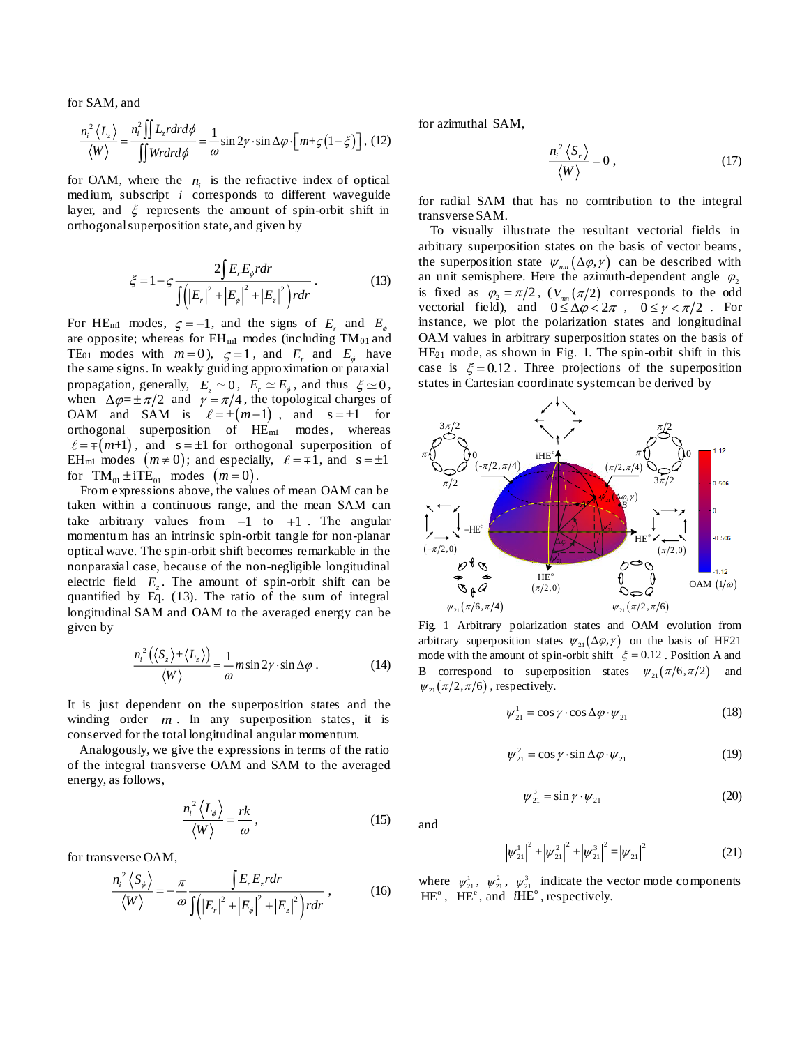for SAM, and

$$
\frac{n_i^2 \langle L_z \rangle}{\langle W \rangle} = \frac{n_i^2 \iint L_z r dr d\phi}{\iint W r dr d\phi} = \frac{1}{\omega} \sin 2\gamma \cdot \sin \Delta \varphi \cdot \left[ m + \zeta \left( 1 - \xi \right) \right], (12)
$$

for OAM, where the  $n_i$  is the refractive index of optical medium, subscript *i* corresponds to different waveguide layer, and  $\xi$  represents the amount of spin-orbit shift in orthogonal superposition state, and given by

$$
\xi = 1 - \zeta \frac{2\int E_r E_{\phi} r dr}{\int (|E_r|^2 + |E_{\phi}|^2 + |E_z|^2) r dr}.
$$
 (13)

For HE<sub>m1</sub> modes,  $\zeta = -1$ , and the signs of  $E_r$  and  $E_\phi$ are opposite; whereas for  $EH_{ml}$  modes (including  $TM_{01}$  and TE<sub>01</sub> modes with  $m=0$ ,  $\zeta=1$ , and  $E_r$  and  $E_{\phi}$  have the same signs. In weakly guiding approximation or paraxial propagation, generally,  $E_z \simeq 0$ ,  $E_r \simeq E_\phi$ , and thus  $\xi \simeq 0$ , when  $\Delta \varphi = \pm \pi/2$  and  $\gamma = \pi/4$ , the topological charges of OAM and SAM is  $\ell = \pm (m-1)$ , and  $s = \pm 1$  for orthogonal superposition of  $HE<sub>ml</sub>$  modes, whereas  $=\mp(m+1)$ , and  $s = \pm 1$  for orthogonal superposition of EH<sub>m1</sub> modes  $(m \neq 0)$ ; and especially,  $\ell = \mp 1$ , and  $s = \pm 1$ for  $TM_{01} \pm iTE_{01}$  modes  $(m=0)$ .

From expressions above, the values of mean OAM can be taken within a continuous range, and the mean SAM can take arbitrary values from  $-1$  to  $+1$ . The angular momentum has an intrinsic spin-orbit tangle for non-planar optical wave. The spin-orbit shift becomes remarkable in the nonparaxial case, because of the non-negligible longitudinal electric field  $E_z$ . The amount of spin-orbit shift can be quantified by Eq. (13). The ratio of the sum of integral longitudinal SAM and OAM to the averaged energy can be given by

$$
\frac{n_i^2(\langle S_z\rangle + \langle L_z\rangle)}{\langle W\rangle} = \frac{1}{\omega} m \sin 2\gamma \cdot \sin \Delta \varphi . \tag{14}
$$

It is just dependent on the superposition states and the winding order  $m$ . In any superposition states, it is conserved for the total longitudinal angular momentum.

Analogously, we give the expressions in terms of the ratio of the integral transverse OAM and SAM to the averaged energy, as follows,

$$
\frac{n_i^2 \langle L_\phi \rangle}{\langle W \rangle} = \frac{rk}{\omega},\tag{15}
$$

for transverse OAM,

$$
\frac{n_i^2 \langle S_{\phi} \rangle}{\langle W \rangle} = -\frac{\pi}{\omega} \frac{\int E_r E_z r dr}{\int (|E_r|^2 + |E_{\phi}|^2 + |E_z|^2) r dr},
$$
(16)

for azimuthal SAM,

$$
\frac{n_i^2 \langle S_r \rangle}{\langle W \rangle} = 0 \,, \tag{17}
$$

for radial SAM that has no comtribution to the integral transverse SAM.

To visually illustrate the resultant vectorial fields in arbitrary superposition states on the basis of vector beams, the superposition state  $\psi_{mn}(\Delta \varphi, \gamma)$  can be described with an unit semisphere. Here the azimuth-dependent angle  $\varphi_2$ is fixed as  $\varphi_2 = \pi/2$ ,  $(V_{mn}(\pi/2))$  corresponds to the odd vectorial field), and  $0 \le \Delta \varphi < 2\pi$ ,  $0 \le \gamma < \pi/2$ . For instance, we plot the polarization states and longitudinal OAM values in arbitrary superposition states on the basis of HE<sup>21</sup> mode, as shown in Fig. 1. The spin-orbit shift in this case is  $\xi = 0.12$ . Three projections of the superposition states in Cartesian coordinate system can be derived by



Fig. 1 Arbitrary polarization states and OAM evolution from arbitrary superposition states  $\psi_{21}(\Delta \varphi, \gamma)$  on the basis of HE21 mode with the amount of spin-orbit shift  $\xi = 0.12$ . Position A and B correspond to superposition states  $\psi_{21}(\pi/6, \pi/2)$  and  $\psi_{21}(\pi/2, \pi/6)$ , respectively.

$$
\psi_{21}^1 = \cos \gamma \cdot \cos \Delta \varphi \cdot \psi_{21} \tag{18}
$$

$$
\psi_{21}^2 = \cos \gamma \cdot \sin \Delta \varphi \cdot \psi_{21} \tag{19}
$$

$$
\psi_{21}^3 = \sin \gamma \cdot \psi_{21} \tag{20}
$$

and

$$
\left|\psi_{21}^{1}\right|^{2} + \left|\psi_{21}^{2}\right|^{2} + \left|\psi_{21}^{3}\right|^{2} = \left|\psi_{21}\right|^{2}
$$
 (21)

where  $\psi_{21}^1$ ,  $\psi_{21}^2$ ,  $\psi_{21}^3$  indicate the vector mode components  $HE^{\circ}$ ,  $HE^{\circ}$ , and  $iHE^{\circ}$ , respectively.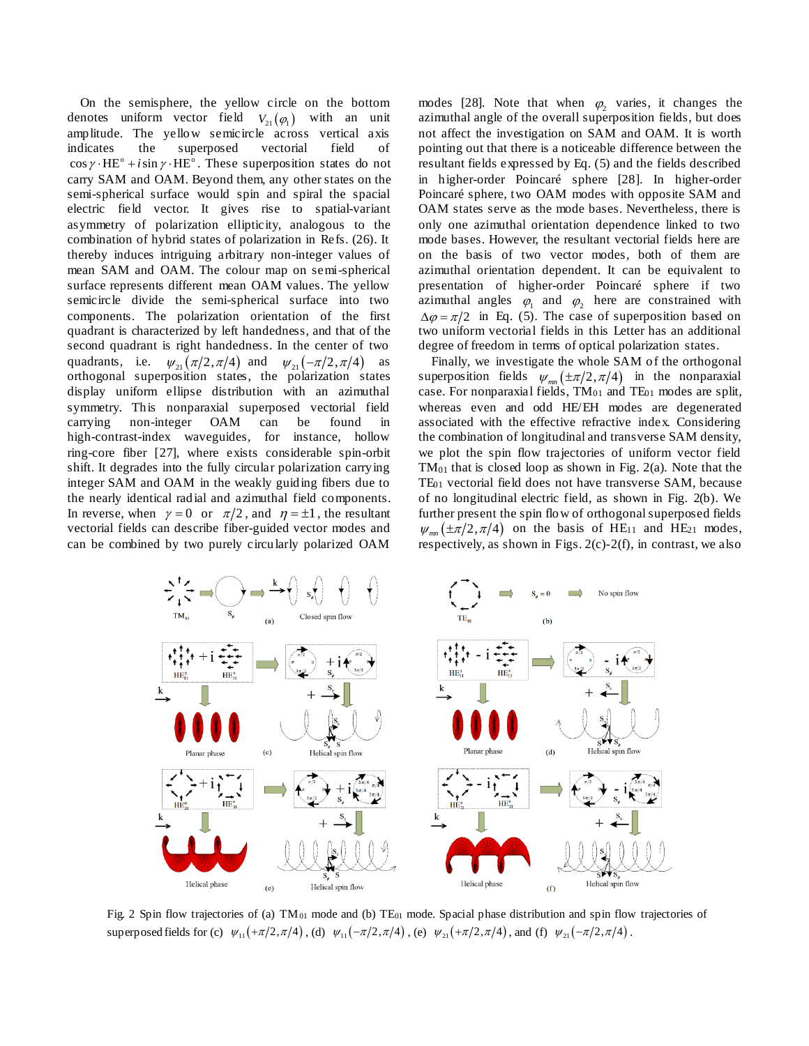On the semisphere, the yellow circle on the bottom denotes uniform vector field  $V_{21}(\varphi_1)$  with an unit amplitude. The yellow semicircle across vertical axis indicates the superposed vectorial field of  $\cos \gamma \cdot \text{HE}^{\circ} + i \sin \gamma \cdot \text{HE}^{\circ}$ . These superposition states do not carry SAM and OAM. Beyond them, any other states on the semi-spherical surface would spin and spiral the spacial electric field vector. It gives rise to spatial-variant asymmetry of polarization ellipticity, analogous to the combination of hybrid states of polarization in Refs. (26). It thereby induces intriguing arbitrary non-integer values of mean SAM and OAM. The colour map on semi-spherical surface represents different mean OAM values. The yellow semicircle divide the semi-spherical surface into two components. The polarization orientation of the first quadrant is characterized by left handedness, and that of the second quadrant is right handedness. In the center of two quadrants, i.e.  $\psi_{21}(\pi/2, \pi/4)$  and  $\psi_{21}(-\pi/2, \pi/4)$  as orthogonal superposition states, the polarization states display uniform ellipse distribution with an azimuthal symmetry. This nonparaxial superposed vectorial field carrying non-integer OAM can be found in high-contrast-index waveguides, for instance, hollow ring-core fiber [27], where exists considerable spin-orbit shift. It degrades into the fully circular polarization carrying integer SAM and OAM in the weakly guiding fibers due to the nearly identical radial and azimuthal field components. In reverse, when  $\gamma = 0$  or  $\pi/2$ , and  $\eta = \pm 1$ , the resultant vectorial fields can describe fiber-guided vector modes and can be combined by two purely circularly polarized OAM

modes [28]. Note that when  $\varphi_2$  varies, it changes the azimuthal angle of the overall superposition fields, but does not affect the investigation on SAM and OAM. It is worth pointing out that there is a noticeable difference between the resultant fields expressed by Eq. (5) and the fields described in higher-order Poincaré sphere [28]. In higher-order Poincarésphere, two OAM modes with opposite SAM and OAM states serve as the mode bases. Nevertheless, there is only one azimuthal orientation dependence linked to two mode bases. However, the resultant vectorial fields here are on the basis of two vector modes, both of them are azimuthal orientation dependent. It can be equivalent to presentation of higher-order Poincaré sphere if two azimuthal angles  $\varphi_1$  and  $\varphi_2$  here are constrained with  $\Delta \varphi = \pi/2$  in Eq. (5). The case of superposition based on two uniform vectorial fields in this Letter has an additional degree of freedom in terms of optical polarization states.

Finally, we investigate the whole SAM of the orthogonal superposition fields  $\psi_{mn}(\pm \pi/2, \pi/4)$  in the nonparaxial case. For nonparaxial fields,  $TM_{01}$  and  $TE_{01}$  modes are split, whereas even and odd HE/EH modes are degenerated associated with the effective refractive index. Considering the combination of longitudinal and transverse SAM density, we plot the spin flow trajectories of uniform vector field TM<sup>01</sup> that is closed loop as shown in Fig. 2(a). Note that the TE<sup>01</sup> vectorial field does not have transverse SAM, because of no longitudinal electric field, as shown in Fig. 2(b). We further present the spin flow of orthogonal superposed fields  $\psi_{mn}$  ( $\pm \pi/2, \pi/4$ ) on the basis of HE<sub>11</sub> and HE<sub>21</sub> modes, respectively, as shown in Figs. 2(c)-2(f), in contrast, we also



Fig. 2 Spin flow trajectories of (a)  $TM_{01}$  mode and (b)  $TE_{01}$  mode. Spacial phase distribution and spin flow trajectories of superposed fields for (c)  $\psi_{11}(+\pi/2,\pi/4)$ , (d)  $\psi_{11}(-\pi/2,\pi/4)$ , (e)  $\psi_{21}(+\pi/2,\pi/4)$ , and (f)  $\psi_{21}(-\pi/2,\pi/4)$ .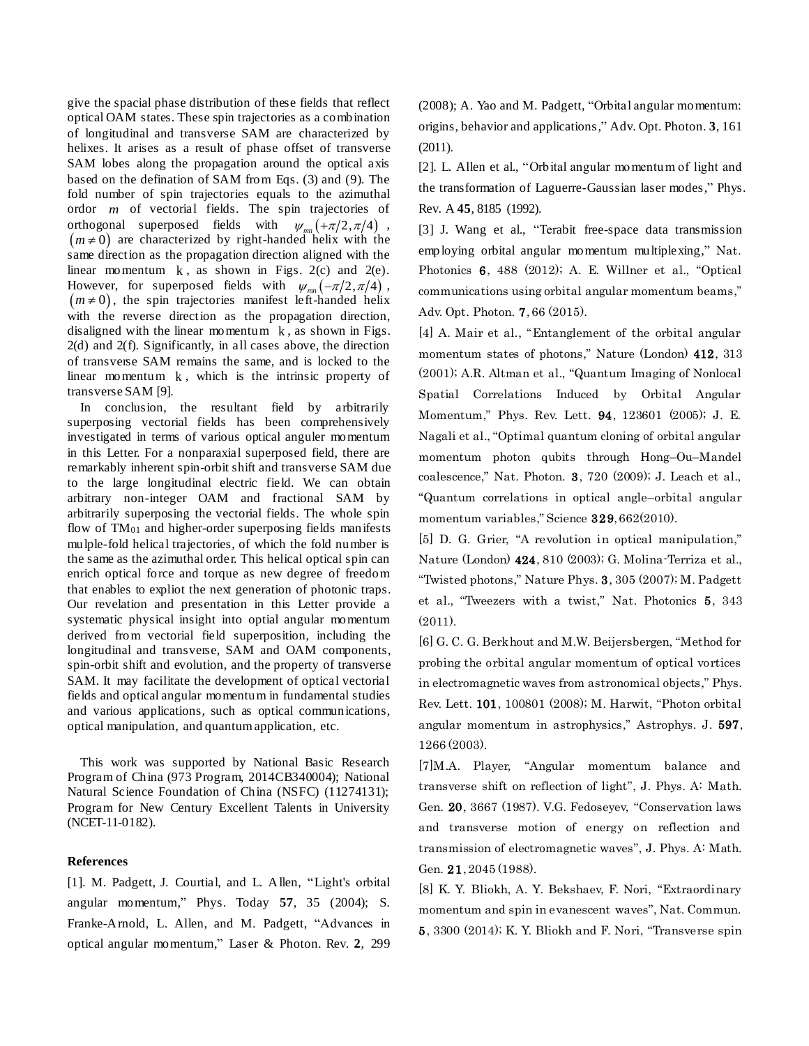give the spacial phase distribution of these fields that reflect optical OAM states. These spin trajectories as a combination of longitudinal and transverse SAM are characterized by helixes. It arises as a result of phase offset of transverse SAM lobes along the propagation around the optical axis based on the defination of SAM from Eqs. (3) and (9). The fold number of spin trajectories equals to the azimuthal ordor *m* of vectorial fields. The spin trajectories of orthogonal superposed fields with  $\psi_{mn}(\pm \pi/2, \pi/4)$ ,  $(m \neq 0)$  are characterized by right-handed helix with the same direction as the propagation direction aligned with the linear momentum  $k$ , as shown in Figs. 2(c) and 2(e). However, for superposed fields with  $\psi_{mn}(-\pi/2, \pi/4)$ ,  $(m \neq 0)$ , the spin trajectories manifest left-handed helix with the reverse direction as the propagation direction, disaligned with the linear momentum  $k$ , as shown in Figs. 2(d) and 2(f). Significantly, in all cases above, the direction of transverse SAM remains the same, and is locked to the linear momentum k , which is the intrinsic property of transverse SAM [9].

In conclusion, the resultant field by arbitrarily superposing vectorial fields has been comprehensively investigated in terms of various optical anguler momentum in this Letter. For a nonparaxial superposed field, there are remarkably inherent spin-orbit shift and transverse SAM due to the large longitudinal electric field. We can obtain arbitrary non-integer OAM and fractional SAM by arbitrarily superposing the vectorial fields. The whole spin flow of  $TM_{01}$  and higher-order superposing fields manifests mulple-fold helical trajectories, of which the fold number is the same as the azimuthal order. This helical optical spin can enrich optical force and torque as new degree of freedom that enables to expliot the next generation of photonic traps. Our revelation and presentation in this Letter provide a systematic physical insight into optial angular momentum derived from vectorial field superposition, including the longitudinal and transverse, SAM and OAM components, spin-orbit shift and evolution, and the property of transverse SAM. It may facilitate the development of optical vectorial fields and optical angular momentum in fundamental studies and various applications, such as optical communications, optical manipulation, and quantum application, etc.

This work was supported by National Basic Research Program of China (973 Program, 2014CB340004); National Natural Science Foundation of China (NSFC) (11274131); Program for New Century Excellent Talents in University (NCET-11-0182).

## **References**

[1]. M. Padgett, J. Courtial, and L. Allen, "Light's orbital angular momentum," Phys. Today **57**, 35 (2004); S. Franke-Arnold, L. Allen, and M. Padgett, "Advances in optical angular momentum," Laser & Photon. Rev. **2**, 299

(2008); A. Yao and M. Padgett, "Orbital angular momentum: origins, behavior and applications," Adv. Opt. Photon. **3**, 161 (2011).

[2]. L. Allen et al., "Orbital angular momentum of light and the transformation of Laguerre-Gaussian laser modes," Phys. Rev. A **45**, 8185 (1992).

[3] J. Wang et al., "Terabit free-space data transmission employing orbital angular momentum multiplexing," Nat. Photonics 6, 488 (2012); A. E. Willner et al., "Optical communications using orbital angular momentum beams," Adv. Opt. Photon. 7, 66 (2015).

[4] A. Mair et al., "Entanglement of the orbital angular momentum states of photons," Nature (London) 412, 313 (2001); A.R. Altman et al., "Quantum Imaging of Nonlocal Spatial Correlations Induced by Orbital Angular Momentum," Phys. Rev. Lett. 94, 123601 (2005); J. E. Nagali et al., "Optimal quantum cloning of orbital angular momentum photon qubits through Hong–Ou–Mandel coalescence," Nat. Photon. 3, 720 (2009); J. Leach et al., "Quantum correlations in optical angle–orbital angular momentum variables," Science 329, 662(2010).

[5] D. G. Grier, "A revolution in optical manipulation," Nature (London) 424, 810 (2003); G. Molina-Terriza et al., "Twisted photons," Nature Phys. 3, 305 (2007); M. Padgett et al., "Tweezers with a twist," Nat. Photonics 5, 343 (2011).

[6] G. C. G. Berkhout and M.W. Beijersbergen, "Method for probing the orbital angular momentum of optical vortices in electromagnetic waves from astronomical objects," Phys. Rev. Lett. 101, 100801 (2008); M. Harwit, "Photon orbital angular momentum in astrophysics," Astrophys. J. 597, 1266 (2003).

[7]M.A. Player, "Angular momentum balance and transverse shift on reflection of light", J. Phys. A: Math. Gen. 20, 3667 (1987). V.G. Fedoseyev, "Conservation laws and transverse motion of energy on reflection and transmission of electromagnetic waves", J. Phys. A: Math. Gen. 21, 2045 (1988).

[8] K. Y. Bliokh, A. Y. Bekshaev, F. Nori, "Extraordinary momentum and spin in evanescent waves", Nat. Commun. 5, 3300 (2014); K. Y. Bliokh and F. Nori, "Transverse spin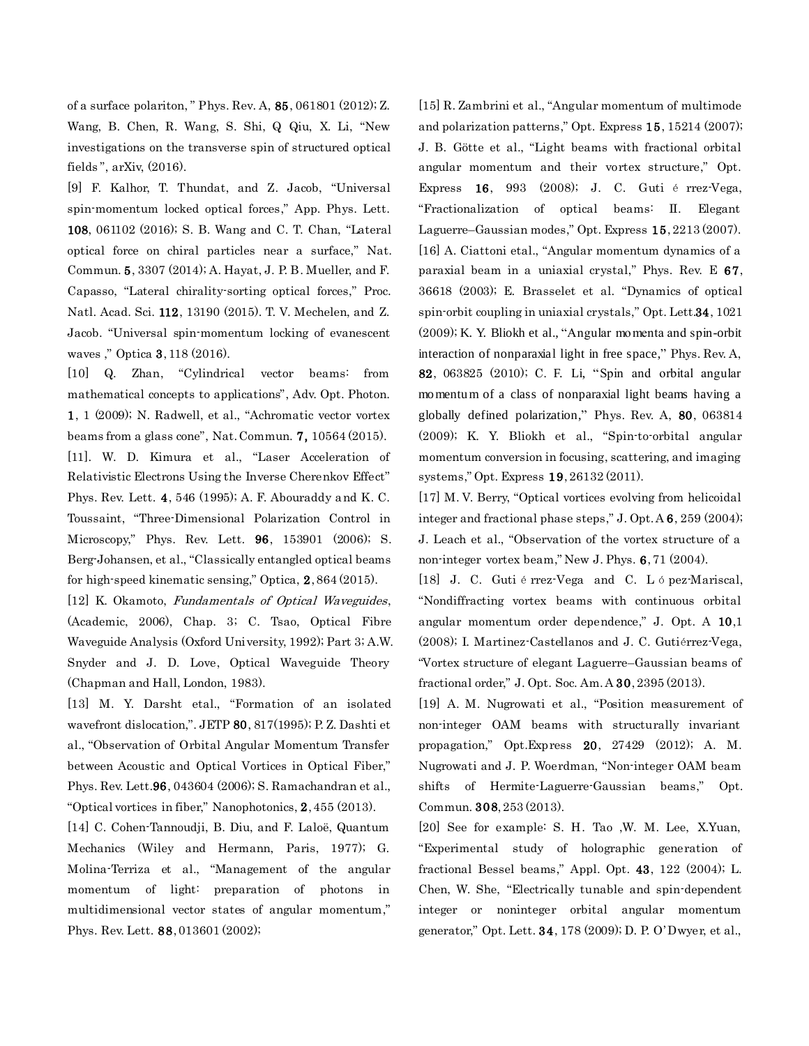of a surface polariton, " Phys. Rev. A, 85, 061801 (2012); Z. Wang, B. Chen, R. Wang, S. Shi, Q Qiu, X. Li, "New investigations on the transverse spin of structured optical fields ", arXiv, (2016).

[9] F. Kalhor, T. Thundat, and Z. Jacob, "Universal spin-momentum locked optical forces," App. Phys. Lett. 108, 061102 (2016); S. B. Wang and C. T. Chan, "Lateral optical force on chiral particles near a surface," Nat. Commun. 5, 3307 (2014); A. Hayat, J. P. B. Mueller, and F. Capasso, "Lateral chirality-sorting optical forces," Proc. Natl. Acad. Sci. 112, 13190 (2015). T. V. Mechelen, and Z. Jacob. "Universal spin-momentum locking of evanescent waves ," Optica 3, 118 (2016).

[10] Q. Zhan, "Cylindrical vector beams: from mathematical concepts to applications", Adv. Opt. Photon. 1, 1 (2009); N. Radwell, et al., "Achromatic vector vortex beams from a glass cone", Nat. Commun. 7, 10564 (2015). [11]. W. D. Kimura et al., "Laser Acceleration of Relativistic Electrons Using the Inverse Cherenkov Effect" Phys. Rev. Lett. 4, 546 (1995); A. F. Abouraddy and K. C. Toussaint, "Three-Dimensional Polarization Control in Microscopy," Phys. Rev. Lett. 96, 153901 (2006); S. Berg-Johansen, et al., "Classically entangled optical beams for high-speed kinematic sensing," Optica, 2, 864 (2015).

[12] K. Okamoto, Fundamentals of Optical Waveguides, (Academic, 2006), Chap. 3; C. Tsao, Optical Fibre Waveguide Analysis (Oxford University, 1992); Part 3; A.W. Snyder and J. D. Love, Optical Waveguide Theory (Chapman and Hall, London, 1983).

[13] M. Y. Darsht etal., "Formation of an isolated wavefront dislocation,". JETP 80, 817(1995); P. Z. Dashti et al., "Observation of Orbital Angular Momentum Transfer between Acoustic and Optical Vortices in Optical Fiber," Phys. Rev. Lett.96, 043604 (2006); S. Ramachandran et al., "Optical vortices in fiber," Nanophotonics, 2, 455 (2013).

[14] C. Cohen-Tannoudji, B. Diu, and F. Laloë, Quantum Mechanics (Wiley and Hermann, Paris, 1977); G. Molina-Terriza et al., "Management of the angular momentum of light: preparation of photons in multidimensional vector states of angular momentum," Phys. Rev. Lett. 88, 013601 (2002);

[15] R. Zambrini et al., "Angular momentum of multimode and polarization patterns," Opt. Express 15, 15214 (2007); J. B. Götte et al., "Light beams with fractional orbital angular momentum and their vortex structure," Opt. Express 16, 993 (2008); J. C. Guti é rrez-Vega, "Fractionalization of optical beams: II. Elegant Laguerre–Gaussian modes," Opt. Express 15, 2213 (2007). [16] A. Ciattoni etal., "Angular momentum dynamics of a paraxial beam in a uniaxial crystal," Phys. Rev. E 67, 36618 (2003); E. Brasselet et al. "Dynamics of optical spin-orbit coupling in uniaxial crystals," Opt. Lett.34, 1021 (2009); K. Y. Bliokh et al., "Angular momenta and spin-orbit interaction of nonparaxial light in free space," Phys. Rev. A, 82, 063825 (2010); C. F. Li, "Spin and orbital angular momentum of a class of nonparaxial light beams having a globally defined polarization," Phys. Rev. A, 80, 063814 (2009); K. Y. Bliokh et al., "Spin-to-orbital angular momentum conversion in focusing, scattering, and imaging systems," Opt. Express 19, 26132 (2011).

[17] M. V. Berry, "Optical vortices evolving from helicoidal integer and fractional phase steps," J. Opt. A 6, 259 (2004); J. Leach et al., "Observation of the vortex structure of a non-integer vortex beam," New J. Phys. 6, 71 (2004).

[18] J. C. Guti é rrez-Vega and C. L ó pez-Mariscal, "Nondiffracting vortex beams with continuous orbital angular momentum order dependence," J. Opt. A 10,1 (2008); I. Martinez-Castellanos and J. C. Gutiérrez-Vega, "Vortex structure of elegant Laguerre–Gaussian beams of fractional order," J. Opt. Soc. Am. A 30, 2395 (2013).

[19] A. M. Nugrowati et al., "Position measurement of non-integer OAM beams with structurally invariant propagation," Opt.Express 20, 27429 (2012); A. M. Nugrowati and J. P. Woerdman, "Non-integer OAM beam shifts of Hermite-Laguerre-Gaussian beams," Opt. Commun. 308, 253 (2013).

[20] See for example: S. H. Tao ,W. M. Lee, X.Yuan, "Experimental study of holographic generation of fractional Bessel beams," Appl. Opt. 43, 122 (2004); L. Chen, W. She, "Electrically tunable and spin-dependent integer or noninteger orbital angular momentum generator," Opt. Lett. 34, 178 (2009); D. P. O'Dwyer, et al.,